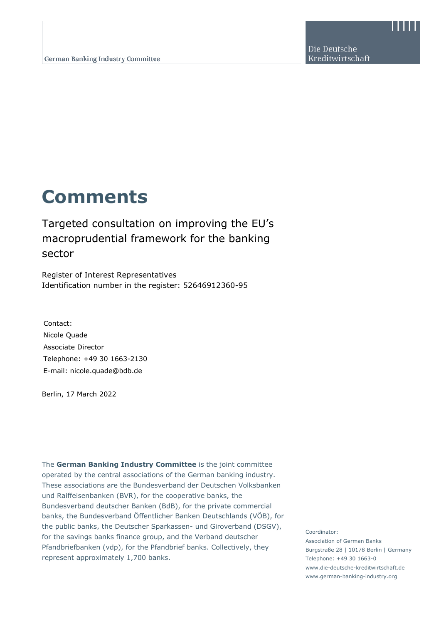## **Comments**

## Targeted consultation on improving the EU's macroprudential framework for the banking sector

Register of Interest Representatives Identification number in the register: 52646912360-95

Contact: Nicole Quade Associate Director Telephone: +49 30 1663-2130 E-mail: nicole.quade@bdb.de

Berlin, 17 March 2022

The **German Banking Industry Committee** is the joint committee operated by the central associations of the German banking industry. These associations are the Bundesverband der Deutschen Volksbanken und Raiffeisenbanken (BVR), for the cooperative banks, the Bundesverband deutscher Banken (BdB), for the private commercial banks, the Bundesverband Öffentlicher Banken Deutschlands (VÖB), for the public banks, the Deutscher Sparkassen- und Giroverband (DSGV), for the savings banks finance group, and the Verband deutscher Pfandbriefbanken (vdp), for the Pfandbrief banks. Collectively, they represent approximately 1,700 banks.

Coordinator:

Association of German Banks Burgstraße 28 | 10178 Berlin | Germany Telephone: +49 30 1663-0 www.die-deutsche-kreditwirtschaft.de www.german-banking-industry.org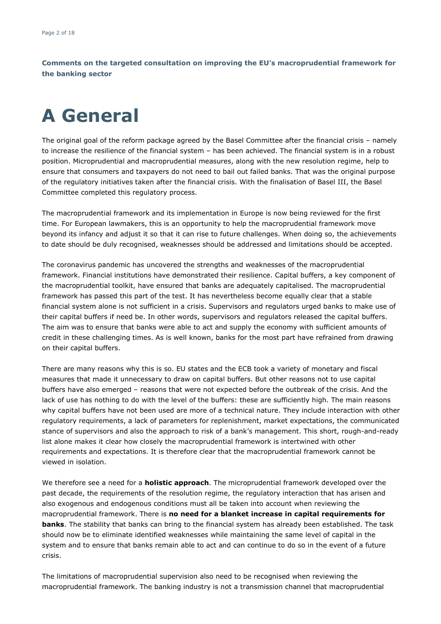# **A General**

The original goal of the reform package agreed by the Basel Committee after the financial crisis – namely to increase the resilience of the financial system – has been achieved. The financial system is in a robust position. Microprudential and macroprudential measures, along with the new resolution regime, help to ensure that consumers and taxpayers do not need to bail out failed banks. That was the original purpose of the regulatory initiatives taken after the financial crisis. With the finalisation of Basel III, the Basel Committee completed this regulatory process.

The macroprudential framework and its implementation in Europe is now being reviewed for the first time. For European lawmakers, this is an opportunity to help the macroprudential framework move beyond its infancy and adjust it so that it can rise to future challenges. When doing so, the achievements to date should be duly recognised, weaknesses should be addressed and limitations should be accepted.

The coronavirus pandemic has uncovered the strengths and weaknesses of the macroprudential framework. Financial institutions have demonstrated their resilience. Capital buffers, a key component of the macroprudential toolkit, have ensured that banks are adequately capitalised. The macroprudential framework has passed this part of the test. It has nevertheless become equally clear that a stable financial system alone is not sufficient in a crisis. Supervisors and regulators urged banks to make use of their capital buffers if need be. In other words, supervisors and regulators released the capital buffers. The aim was to ensure that banks were able to act and supply the economy with sufficient amounts of credit in these challenging times. As is well known, banks for the most part have refrained from drawing on their capital buffers.

There are many reasons why this is so. EU states and the ECB took a variety of monetary and fiscal measures that made it unnecessary to draw on capital buffers. But other reasons not to use capital buffers have also emerged – reasons that were not expected before the outbreak of the crisis. And the lack of use has nothing to do with the level of the buffers: these are sufficiently high. The main reasons why capital buffers have not been used are more of a technical nature. They include interaction with other regulatory requirements, a lack of parameters for replenishment, market expectations, the communicated stance of supervisors and also the approach to risk of a bank's management. This short, rough-and-ready list alone makes it clear how closely the macroprudential framework is intertwined with other requirements and expectations. It is therefore clear that the macroprudential framework cannot be viewed in isolation.

We therefore see a need for a **holistic approach**. The microprudential framework developed over the past decade, the requirements of the resolution regime, the regulatory interaction that has arisen and also exogenous and endogenous conditions must all be taken into account when reviewing the macroprudential framework. There is **no need for a blanket increase in capital requirements for banks**. The stability that banks can bring to the financial system has already been established. The task should now be to eliminate identified weaknesses while maintaining the same level of capital in the system and to ensure that banks remain able to act and can continue to do so in the event of a future crisis.

The limitations of macroprudential supervision also need to be recognised when reviewing the macroprudential framework. The banking industry is not a transmission channel that macroprudential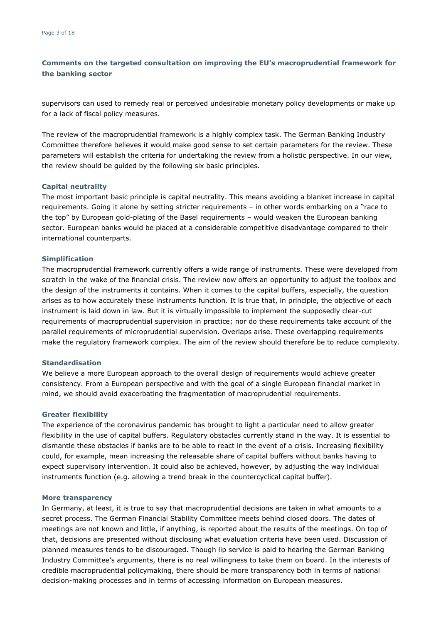supervisors can used to remedy real or perceived undesirable monetary policy developments or make up for a lack of fiscal policy measures.

The review of the macroprudential framework is a highly complex task. The German Banking Industry Committee therefore believes it would make good sense to set certain parameters for the review. These parameters will establish the criteria for undertaking the review from a holistic perspective. In our view, the review should be guided by the following six basic principles.

#### **Capital neutrality**

The most important basic principle is capital neutrality. This means avoiding a blanket increase in capital requirements. Going it alone by setting stricter requirements – in other words embarking on a "race to the top" by European gold-plating of the Basel requirements – would weaken the European banking sector. European banks would be placed at a considerable competitive disadvantage compared to their international counterparts.

#### **Simplification**

The macroprudential framework currently offers a wide range of instruments. These were developed from scratch in the wake of the financial crisis. The review now offers an opportunity to adjust the toolbox and the design of the instruments it contains. When it comes to the capital buffers, especially, the question arises as to how accurately these instruments function. It is true that, in principle, the objective of each instrument is laid down in law. But it is virtually impossible to implement the supposedly clear-cut requirements of macroprudential supervision in practice; nor do these requirements take account of the parallel requirements of microprudential supervision. Overlaps arise. These overlapping requirements make the regulatory framework complex. The aim of the review should therefore be to reduce complexity.

#### **Standardisation**

We believe a more European approach to the overall design of requirements would achieve greater consistency. From a European perspective and with the goal of a single European financial market in mind, we should avoid exacerbating the fragmentation of macroprudential requirements.

#### **Greater flexibility**

The experience of the coronavirus pandemic has brought to light a particular need to allow greater flexibility in the use of capital buffers. Regulatory obstacles currently stand in the way. It is essential to dismantle these obstacles if banks are to be able to react in the event of a crisis. Increasing flexibility could, for example, mean increasing the releasable share of capital buffers without banks having to expect supervisory intervention. It could also be achieved, however, by adjusting the way individual instruments function (e.g. allowing a trend break in the countercyclical capital buffer).

#### **More transparency**

In Germany, at least, it is true to say that macroprudential decisions are taken in what amounts to a secret process. The German Financial Stability Committee meets behind closed doors. The dates of meetings are not known and little, if anything, is reported about the results of the meetings. On top of that, decisions are presented without disclosing what evaluation criteria have been used. Discussion of planned measures tends to be discouraged. Though lip service is paid to hearing the German Banking Industry Committee's arguments, there is no real willingness to take them on board. In the interests of credible macroprudential policymaking, there should be more transparency both in terms of national decision-making processes and in terms of accessing information on European measures.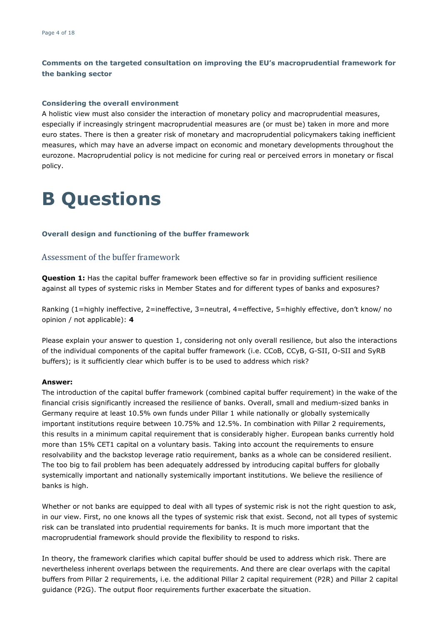#### **Considering the overall environment**

A holistic view must also consider the interaction of monetary policy and macroprudential measures, especially if increasingly stringent macroprudential measures are (or must be) taken in more and more euro states. There is then a greater risk of monetary and macroprudential policymakers taking inefficient measures, which may have an adverse impact on economic and monetary developments throughout the eurozone. Macroprudential policy is not medicine for curing real or perceived errors in monetary or fiscal policy.

## **B Questions**

#### **Overall design and functioning of the buffer framework**

## Assessment of the buffer framework

**Question 1:** Has the capital buffer framework been effective so far in providing sufficient resilience against all types of systemic risks in Member States and for different types of banks and exposures?

Ranking (1=highly ineffective, 2=ineffective, 3=neutral, 4=effective, 5=highly effective, don't know/ no opinion / not applicable): **4**

Please explain your answer to question 1, considering not only overall resilience, but also the interactions of the individual components of the capital buffer framework (i.e. CCoB, CCyB, G-SII, O-SII and SyRB buffers); is it sufficiently clear which buffer is to be used to address which risk?

#### **Answer:**

The introduction of the capital buffer framework (combined capital buffer requirement) in the wake of the financial crisis significantly increased the resilience of banks. Overall, small and medium-sized banks in Germany require at least 10.5% own funds under Pillar 1 while nationally or globally systemically important institutions require between 10.75% and 12.5%. In combination with Pillar 2 requirements, this results in a minimum capital requirement that is considerably higher. European banks currently hold more than 15% CET1 capital on a voluntary basis. Taking into account the requirements to ensure resolvability and the backstop leverage ratio requirement, banks as a whole can be considered resilient. The too big to fail problem has been adequately addressed by introducing capital buffers for globally systemically important and nationally systemically important institutions. We believe the resilience of banks is high.

Whether or not banks are equipped to deal with all types of systemic risk is not the right question to ask, in our view. First, no one knows all the types of systemic risk that exist. Second, not all types of systemic risk can be translated into prudential requirements for banks. It is much more important that the macroprudential framework should provide the flexibility to respond to risks.

In theory, the framework clarifies which capital buffer should be used to address which risk. There are nevertheless inherent overlaps between the requirements. And there are clear overlaps with the capital buffers from Pillar 2 requirements, i.e. the additional Pillar 2 capital requirement (P2R) and Pillar 2 capital guidance (P2G). The output floor requirements further exacerbate the situation.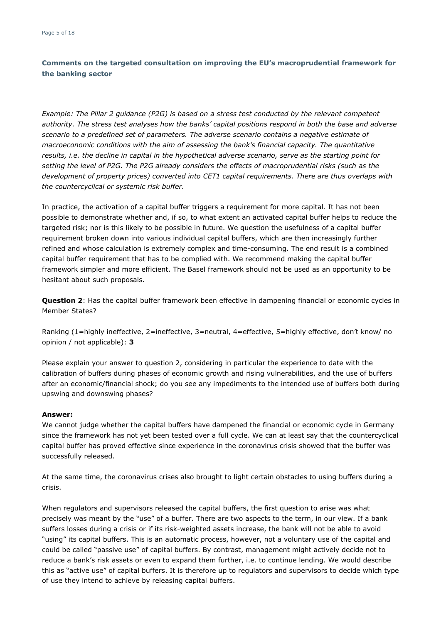*Example: The Pillar 2 guidance (P2G) is based on a stress test conducted by the relevant competent authority. The stress test analyses how the banks' capital positions respond in both the base and adverse scenario to a predefined set of parameters. The adverse scenario contains a negative estimate of macroeconomic conditions with the aim of assessing the bank's financial capacity. The quantitative results, i.e. the decline in capital in the hypothetical adverse scenario, serve as the starting point for setting the level of P2G. The P2G already considers the effects of macroprudential risks (such as the development of property prices) converted into CET1 capital requirements. There are thus overlaps with the countercyclical or systemic risk buffer.*

In practice, the activation of a capital buffer triggers a requirement for more capital. It has not been possible to demonstrate whether and, if so, to what extent an activated capital buffer helps to reduce the targeted risk; nor is this likely to be possible in future. We question the usefulness of a capital buffer requirement broken down into various individual capital buffers, which are then increasingly further refined and whose calculation is extremely complex and time-consuming. The end result is a combined capital buffer requirement that has to be complied with. We recommend making the capital buffer framework simpler and more efficient. The Basel framework should not be used as an opportunity to be hesitant about such proposals.

**Question 2**: Has the capital buffer framework been effective in dampening financial or economic cycles in Member States?

Ranking (1=highly ineffective, 2=ineffective, 3=neutral, 4=effective, 5=highly effective, don't know/ no opinion / not applicable): **3**

Please explain your answer to question 2, considering in particular the experience to date with the calibration of buffers during phases of economic growth and rising vulnerabilities, and the use of buffers after an economic/financial shock; do you see any impediments to the intended use of buffers both during upswing and downswing phases?

#### **Answer:**

We cannot judge whether the capital buffers have dampened the financial or economic cycle in Germany since the framework has not yet been tested over a full cycle. We can at least say that the countercyclical capital buffer has proved effective since experience in the coronavirus crisis showed that the buffer was successfully released.

At the same time, the coronavirus crises also brought to light certain obstacles to using buffers during a crisis.

When regulators and supervisors released the capital buffers, the first question to arise was what precisely was meant by the "use" of a buffer. There are two aspects to the term, in our view. If a bank suffers losses during a crisis or if its risk-weighted assets increase, the bank will not be able to avoid "using" its capital buffers. This is an automatic process, however, not a voluntary use of the capital and could be called "passive use" of capital buffers. By contrast, management might actively decide not to reduce a bank's risk assets or even to expand them further, i.e. to continue lending. We would describe this as "active use" of capital buffers. It is therefore up to regulators and supervisors to decide which type of use they intend to achieve by releasing capital buffers.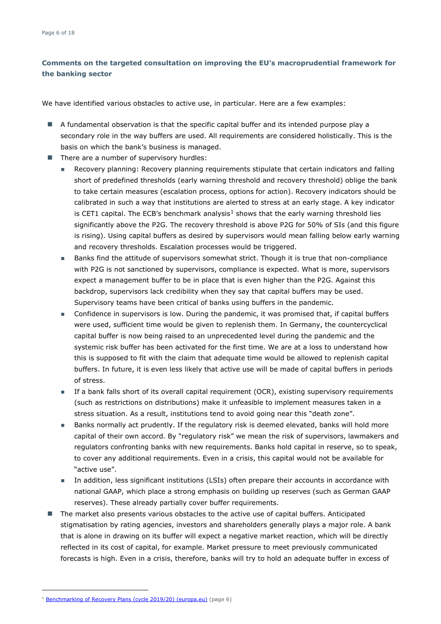We have identified various obstacles to active use, in particular. Here are a few examples:

- A fundamental observation is that the specific capital buffer and its intended purpose play a secondary role in the way buffers are used. All requirements are considered holistically. This is the basis on which the bank's business is managed.
- $\blacksquare$  There are a number of supervisory hurdles:
	- Recovery planning: Recovery planning requirements stipulate that certain indicators and falling short of predefined thresholds (early warning threshold and recovery threshold) oblige the bank to take certain measures (escalation process, options for action). Recovery indicators should be calibrated in such a way that institutions are alerted to stress at an early stage. A key indicator is CET[1](#page-5-0) capital. The ECB's benchmark analysis<sup>1</sup> shows that the early warning threshold lies significantly above the P2G. The recovery threshold is above P2G for 50% of SIs (and this figure is rising). Using capital buffers as desired by supervisors would mean falling below early warning and recovery thresholds. Escalation processes would be triggered.
	- Banks find the attitude of supervisors somewhat strict. Though it is true that non-compliance with P2G is not sanctioned by supervisors, compliance is expected. What is more, supervisors expect a management buffer to be in place that is even higher than the P2G. Against this backdrop, supervisors lack credibility when they say that capital buffers may be used. Supervisory teams have been critical of banks using buffers in the pandemic.
	- Confidence in supervisors is low. During the pandemic, it was promised that, if capital buffers were used, sufficient time would be given to replenish them. In Germany, the countercyclical capital buffer is now being raised to an unprecedented level during the pandemic and the systemic risk buffer has been activated for the first time. We are at a loss to understand how this is supposed to fit with the claim that adequate time would be allowed to replenish capital buffers. In future, it is even less likely that active use will be made of capital buffers in periods of stress.
	- If a bank falls short of its overall capital requirement (OCR), existing supervisory requirements (such as restrictions on distributions) make it unfeasible to implement measures taken in a stress situation. As a result, institutions tend to avoid going near this "death zone".
	- Banks normally act prudently. If the regulatory risk is deemed elevated, banks will hold more capital of their own accord. By "regulatory risk" we mean the risk of supervisors, lawmakers and regulators confronting banks with new requirements. Banks hold capital in reserve, so to speak, to cover any additional requirements. Even in a crisis, this capital would not be available for "active use".
	- In addition, less significant institutions (LSIs) often prepare their accounts in accordance with national GAAP, which place a strong emphasis on building up reserves (such as German GAAP reserves). These already partially cover buffer requirements.
- The market also presents various obstacles to the active use of capital buffers. Anticipated stigmatisation by rating agencies, investors and shareholders generally plays a major role. A bank that is alone in drawing on its buffer will expect a negative market reaction, which will be directly reflected in its cost of capital, for example. Market pressure to meet previously communicated forecasts is high. Even in a crisis, therefore, banks will try to hold an adequate buffer in excess of

<span id="page-5-0"></span><sup>&</sup>lt;sup>1</sup> [Benchmarking of Recovery Plans \(cycle 2019/20\) \(europa.eu\)](https://www.bankingsupervision.europa.eu/ecb/pub/pdf/ssm.benchmarkingofrecoveryplans201920%7Edfca218f04.en.pdf) (page 6)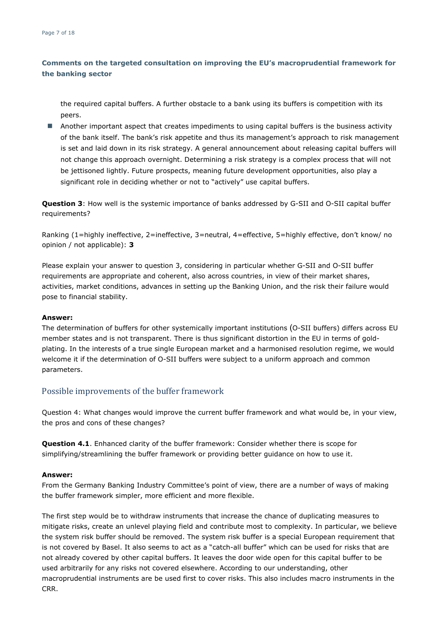the required capital buffers. A further obstacle to a bank using its buffers is competition with its peers.

**Another important aspect that creates impediments to using capital buffers is the business activity** of the bank itself. The bank's risk appetite and thus its management's approach to risk management is set and laid down in its risk strategy. A general announcement about releasing capital buffers will not change this approach overnight. Determining a risk strategy is a complex process that will not be jettisoned lightly. Future prospects, meaning future development opportunities, also play a significant role in deciding whether or not to "actively" use capital buffers.

**Question 3**: How well is the systemic importance of banks addressed by G-SII and O-SII capital buffer requirements?

Ranking (1=highly ineffective, 2=ineffective, 3=neutral, 4=effective, 5=highly effective, don't know/ no opinion / not applicable): **3**

Please explain your answer to question 3, considering in particular whether G-SII and O-SII buffer requirements are appropriate and coherent, also across countries, in view of their market shares, activities, market conditions, advances in setting up the Banking Union, and the risk their failure would pose to financial stability.

#### **Answer:**

The determination of buffers for other systemically important [institutions](https://lexparency.org/eu/32013L0036/ART_3/#3) (O-SII buffers) differs across EU member states and is not transparent. There is thus significant distortion in the EU in terms of goldplating. In the interests of a true single European market and a harmonised resolution regime, we would welcome it if the determination of O-SII buffers were subject to a uniform approach and common parameters.

### Possible improvements of the buffer framework

Question 4: What changes would improve the current buffer framework and what would be, in your view, the pros and cons of these changes?

**Question 4.1**. Enhanced clarity of the buffer framework: Consider whether there is scope for simplifying/streamlining the buffer framework or providing better guidance on how to use it.

#### **Answer:**

From the Germany Banking Industry Committee's point of view, there are a number of ways of making the buffer framework simpler, more efficient and more flexible.

The first step would be to withdraw instruments that increase the chance of duplicating measures to mitigate risks, create an unlevel playing field and contribute most to complexity. In particular, we believe the system risk buffer should be removed. The system risk buffer is a special European requirement that is not covered by Basel. It also seems to act as a "catch-all buffer" which can be used for risks that are not already covered by other capital buffers. It leaves the door wide open for this capital buffer to be used arbitrarily for any risks not covered elsewhere. According to our understanding, other macroprudential instruments are be used first to cover risks. This also includes macro instruments in the CRR.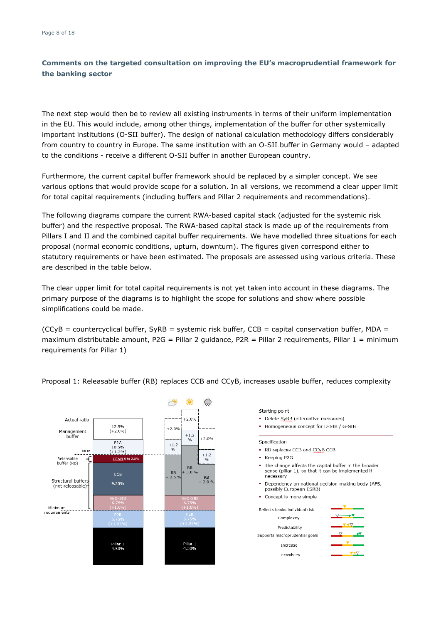The next step would then be to review all existing instruments in terms of their uniform implementation in the EU. This would include, among other things, implementation of the buffer for other systemically important institutions (O-SII buffer). The design of national calculation methodology differs considerably from country to country in Europe. The same institution with an O-SII buffer in Germany would – adapted to the conditions - receive a different O-SII buffer in another European country.

Furthermore, the current capital buffer framework should be replaced by a simpler concept. We see various options that would provide scope for a solution. In all versions, we recommend a clear upper limit for total capital requirements (including buffers and Pillar 2 requirements and recommendations).

The following diagrams compare the current RWA-based capital stack (adjusted for the systemic risk buffer) and the respective proposal. The RWA-based capital stack is made up of the requirements from Pillars I and II and the combined capital buffer requirements. We have modelled three situations for each proposal (normal economic conditions, upturn, downturn). The figures given correspond either to statutory requirements or have been estimated. The proposals are assessed using various criteria. These are described in the table below.

The clear upper limit for total capital requirements is not yet taken into account in these diagrams. The primary purpose of the diagrams is to highlight the scope for solutions and show where possible simplifications could be made.

 $(CCVB = countercyclical buffer, SVRB = systemic risk buffer, CCB = capital conservation buffer, MDA =$ maximum distributable amount, P2G = Pillar 2 guidance, P2R = Pillar 2 requirements, Pillar 1 = minimum requirements for Pillar 1)



Proposal 1: Releasable buffer (RB) replaces CCB and CCyB, increases usable buffer, reduces complexity

Starting point

- Delete SyRB (alternative measures)
- Homogeneous concept for D-SIB / G-SIB
- Specification
- RB replaces CCB and CCyB CCB
- Keeping P2G
- . The change affects the capital buffer in the broader sense (pillar 1), so that it can be implemented if necessary
- · Dependency on national decision-making body (AFS, possibly European ESRB)
- Concept is more simple

| Reflects banks individual risk |  |
|--------------------------------|--|
| Complexity                     |  |
| Predictability                 |  |
| Supports macroprudential goals |  |
| Increase                       |  |
|                                |  |
| Feasibility                    |  |
|                                |  |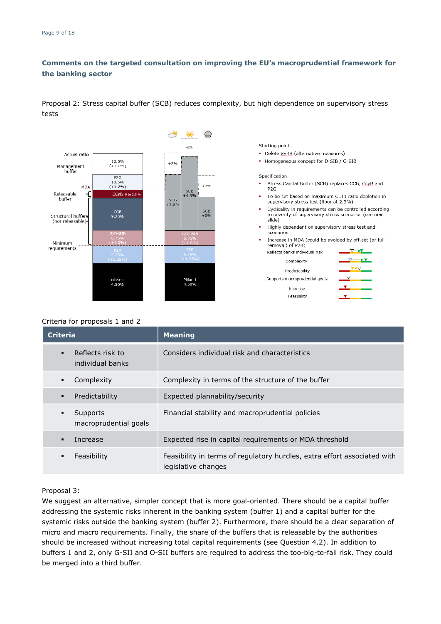Proposal 2: Stress capital buffer (SCB) reduces complexity, but high dependence on supervisory stress tests



Starting point

- · Delete SvRB (alternative measures)
- Homogeneous concept for D-SIB / G-SIB

#### Specification

- Stress Capital Buffer (SCB) replaces CCB, CcyB and P<sub>2G</sub>
- To be set based on maximum CET1 ratio depletion in supervisory stress test (floor at 2.5%)
- Cyclicality in requirements can be controlled according to severity of supervisory stress scenarios (see next slide)
- Highly dependent on supervisory stress test and scenarios
- Increase in MDA (could be avoided by off-set (or full removal) of P2R)



| Complexity            |  |
|-----------------------|--|
| Predictability        |  |
| nacroprudential goals |  |
| Increase              |  |
| Feasibility           |  |
|                       |  |

#### Criteria for proposals 1 and 2

| <b>Criteria</b>                                        | <b>Meaning</b>                                                                                  |
|--------------------------------------------------------|-------------------------------------------------------------------------------------------------|
| Reflects risk to<br>$\blacksquare$<br>individual banks | Considers individual risk and characteristics                                                   |
| Complexity<br>٠                                        | Complexity in terms of the structure of the buffer                                              |
| Predictability<br>٠                                    | Expected plannability/security                                                                  |
| Supports<br>٠<br>macroprudential goals                 | Financial stability and macroprudential policies                                                |
| Increase                                               | Expected rise in capital requirements or MDA threshold                                          |
| Feasibility                                            | Feasibility in terms of regulatory hurdles, extra effort associated with<br>legislative changes |

#### Proposal 3:

We suggest an alternative, simpler concept that is more goal-oriented. There should be a capital buffer addressing the systemic risks inherent in the banking system (buffer 1) and a capital buffer for the systemic risks outside the banking system (buffer 2). Furthermore, there should be a clear separation of micro and macro requirements. Finally, the share of the buffers that is releasable by the authorities should be increased without increasing total capital requirements (see Question 4.2). In addition to buffers 1 and 2, only G-SII and O-SII buffers are required to address the too-big-to-fail risk. They could be merged into a third buffer.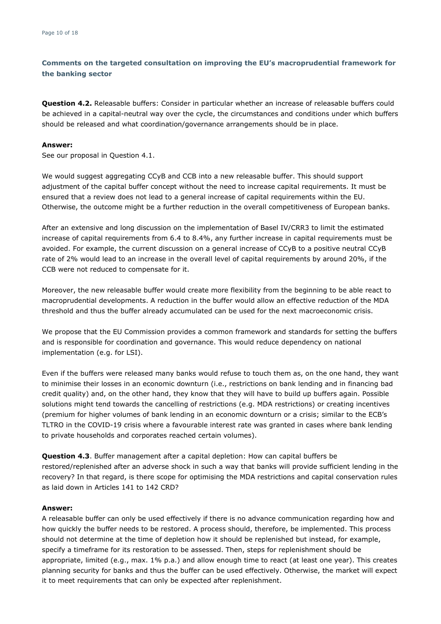**Question 4.2.** Releasable buffers: Consider in particular whether an increase of releasable buffers could be achieved in a capital-neutral way over the cycle, the circumstances and conditions under which buffers should be released and what coordination/governance arrangements should be in place.

#### **Answer:**

See our proposal in Question 4.1.

We would suggest aggregating CCvB and CCB into a new releasable buffer. This should support adjustment of the capital buffer concept without the need to increase capital requirements. It must be ensured that a review does not lead to a general increase of capital requirements within the EU. Otherwise, the outcome might be a further reduction in the overall competitiveness of European banks.

After an extensive and long discussion on the implementation of Basel IV/CRR3 to limit the estimated increase of capital requirements from 6.4 to 8.4%, any further increase in capital requirements must be avoided. For example, the current discussion on a general increase of CCyB to a positive neutral CCyB rate of 2% would lead to an increase in the overall level of capital requirements by around 20%, if the CCB were not reduced to compensate for it.

Moreover, the new releasable buffer would create more flexibility from the beginning to be able react to macroprudential developments. A reduction in the buffer would allow an effective reduction of the MDA threshold and thus the buffer already accumulated can be used for the next macroeconomic crisis.

We propose that the EU Commission provides a common framework and standards for setting the buffers and is responsible for coordination and governance. This would reduce dependency on national implementation (e.g. for LSI).

Even if the buffers were released many banks would refuse to touch them as, on the one hand, they want to minimise their losses in an economic downturn (i.e., restrictions on bank lending and in financing bad credit quality) and, on the other hand, they know that they will have to build up buffers again. Possible solutions might tend towards the cancelling of restrictions (e.g. MDA restrictions) or creating incentives (premium for higher volumes of bank lending in an economic downturn or a crisis; similar to the ECB's TLTRO in the COVID-19 crisis where a favourable interest rate was granted in cases where bank lending to private households and corporates reached certain volumes).

**Question 4.3**. Buffer management after a capital depletion: How can capital buffers be restored/replenished after an adverse shock in such a way that banks will provide sufficient lending in the recovery? In that regard, is there scope for optimising the MDA restrictions and capital conservation rules as laid down in Articles 141 to 142 CRD?

#### **Answer:**

A releasable buffer can only be used effectively if there is no advance communication regarding how and how quickly the buffer needs to be restored. A process should, therefore, be implemented. This process should not determine at the time of depletion how it should be replenished but instead, for example, specify a timeframe for its restoration to be assessed. Then, steps for replenishment should be appropriate, limited (e.g., max. 1% p.a.) and allow enough time to react (at least one year). This creates planning security for banks and thus the buffer can be used effectively. Otherwise, the market will expect it to meet requirements that can only be expected after replenishment.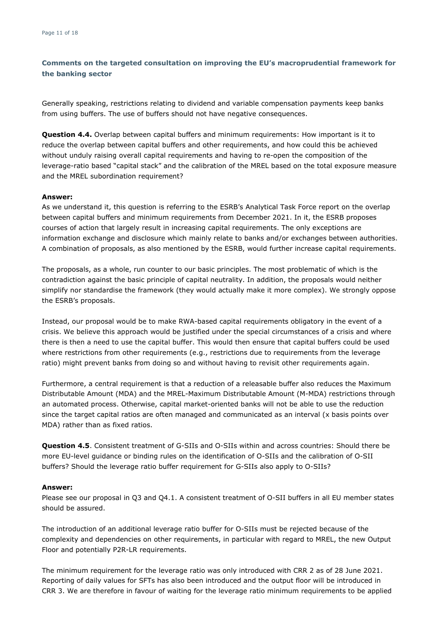Generally speaking, restrictions relating to dividend and variable compensation payments keep banks from using buffers. The use of buffers should not have negative consequences.

**Question 4.4.** Overlap between capital buffers and minimum requirements: How important is it to reduce the overlap between capital buffers and other requirements, and how could this be achieved without unduly raising overall capital requirements and having to re-open the composition of the leverage-ratio based "capital stack" and the calibration of the MREL based on the total exposure measure and the MREL subordination requirement?

#### **Answer:**

As we understand it, this question is referring to the ESRB's Analytical Task Force report on the overlap between capital buffers and minimum requirements from December 2021. In it, the ESRB proposes courses of action that largely result in increasing capital requirements. The only exceptions are information exchange and disclosure which mainly relate to banks and/or exchanges between authorities. A combination of proposals, as also mentioned by the ESRB, would further increase capital requirements.

The proposals, as a whole, run counter to our basic principles. The most problematic of which is the contradiction against the basic principle of capital neutrality. In addition, the proposals would neither simplify nor standardise the framework (they would actually make it more complex). We strongly oppose the ESRB's proposals.

Instead, our proposal would be to make RWA-based capital requirements obligatory in the event of a crisis. We believe this approach would be justified under the special circumstances of a crisis and where there is then a need to use the capital buffer. This would then ensure that capital buffers could be used where restrictions from other requirements (e.g., restrictions due to requirements from the leverage ratio) might prevent banks from doing so and without having to revisit other requirements again.

Furthermore, a central requirement is that a reduction of a releasable buffer also reduces the Maximum Distributable Amount (MDA) and the MREL-Maximum Distributable Amount (M-MDA) restrictions through an automated process. Otherwise, capital market-oriented banks will not be able to use the reduction since the target capital ratios are often managed and communicated as an interval (x basis points over MDA) rather than as fixed ratios.

**Question 4.5**. Consistent treatment of G-SIIs and O-SIIs within and across countries: Should there be more EU-level guidance or binding rules on the identification of O-SIIs and the calibration of O-SII buffers? Should the leverage ratio buffer requirement for G-SIIs also apply to O-SIIs?

#### **Answer:**

Please see our proposal in Q3 and Q4.1. A consistent treatment of O-SII buffers in all EU member states should be assured.

The introduction of an additional leverage ratio buffer for O-SIIs must be rejected because of the complexity and dependencies on other requirements, in particular with regard to MREL, the new Output Floor and potentially P2R-LR requirements.

The minimum requirement for the leverage ratio was only introduced with CRR 2 as of 28 June 2021. Reporting of daily values for SFTs has also been introduced and the output floor will be introduced in CRR 3. We are therefore in favour of waiting for the leverage ratio minimum requirements to be applied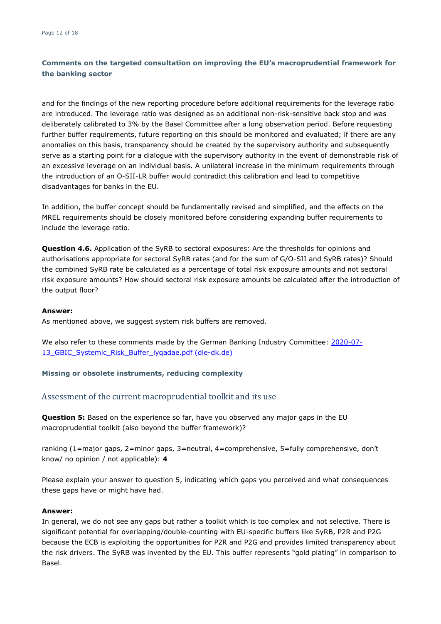and for the findings of the new reporting procedure before additional requirements for the leverage ratio are introduced. The leverage ratio was designed as an additional non-risk-sensitive back stop and was deliberately calibrated to 3% by the Basel Committee after a long observation period. Before requesting further buffer requirements, future reporting on this should be monitored and evaluated; if there are any anomalies on this basis, transparency should be created by the supervisory authority and subsequently serve as a starting point for a dialogue with the supervisory authority in the event of demonstrable risk of an excessive leverage on an individual basis. A unilateral increase in the minimum requirements through the introduction of an O-SII-LR buffer would contradict this calibration and lead to competitive disadvantages for banks in the EU.

In addition, the buffer concept should be fundamentally revised and simplified, and the effects on the MREL requirements should be closely monitored before considering expanding buffer requirements to include the leverage ratio.

**Question 4.6.** Application of the SyRB to sectoral exposures: Are the thresholds for opinions and authorisations appropriate for sectoral SyRB rates (and for the sum of G/O-SII and SyRB rates)? Should the combined SyRB rate be calculated as a percentage of total risk exposure amounts and not sectoral risk exposure amounts? How should sectoral risk exposure amounts be calculated after the introduction of the output floor?

#### **Answer:**

As mentioned above, we suggest system risk buffers are removed.

We also refer to these comments made by the German Banking Industry Committee: [2020-07-](https://die-dk.de/media/files/2020-07-13_GBIC_Systemic_Risk_Buffer_lyqadae.pdf) [13\\_GBIC\\_Systemic\\_Risk\\_Buffer\\_lyqadae.pdf \(die-dk.de\)](https://die-dk.de/media/files/2020-07-13_GBIC_Systemic_Risk_Buffer_lyqadae.pdf)

#### **Missing or obsolete instruments, reducing complexity**

#### Assessment of the current macroprudential toolkit and its use

**Question 5:** Based on the experience so far, have you observed any major gaps in the EU macroprudential toolkit (also beyond the buffer framework)?

ranking (1=major gaps, 2=minor gaps, 3=neutral, 4=comprehensive, 5=fully comprehensive, don't know/ no opinion / not applicable): **4**

Please explain your answer to question 5, indicating which gaps you perceived and what consequences these gaps have or might have had.

#### **Answer:**

In general, we do not see any gaps but rather a toolkit which is too complex and not selective. There is significant potential for overlapping/double-counting with EU-specific buffers like SyRB, P2R and P2G because the ECB is exploiting the opportunities for P2R and P2G and provides limited transparency about the risk drivers. The SyRB was invented by the EU. This buffer represents "gold plating" in comparison to Basel.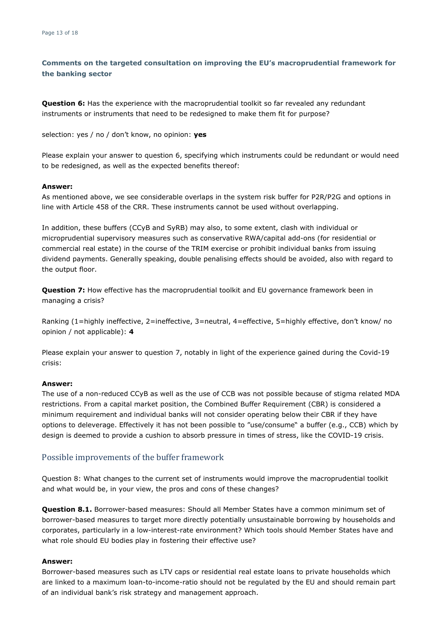**Question 6:** Has the experience with the macroprudential toolkit so far revealed any redundant instruments or instruments that need to be redesigned to make them fit for purpose?

selection: yes / no / don't know, no opinion: **yes**

Please explain your answer to question 6, specifying which instruments could be redundant or would need to be redesigned, as well as the expected benefits thereof:

#### **Answer:**

As mentioned above, we see considerable overlaps in the system risk buffer for P2R/P2G and options in line with Article 458 of the CRR. These instruments cannot be used without overlapping.

In addition, these buffers (CCyB and SyRB) may also, to some extent, clash with individual or microprudential supervisory measures such as conservative RWA/capital add-ons (for residential or commercial real estate) in the course of the TRIM exercise or prohibit individual banks from issuing dividend payments. Generally speaking, double penalising effects should be avoided, also with regard to the output floor.

**Question 7:** How effective has the macroprudential toolkit and EU governance framework been in managing a crisis?

Ranking (1=highly ineffective, 2=ineffective, 3=neutral, 4=effective, 5=highly effective, don't know/ no opinion / not applicable): **4**

Please explain your answer to question 7, notably in light of the experience gained during the Covid-19 crisis:

#### **Answer:**

The use of a non-reduced CCyB as well as the use of CCB was not possible because of stigma related MDA restrictions. From a capital market position, the Combined Buffer Requirement (CBR) is considered a minimum requirement and individual banks will not consider operating below their CBR if they have options to deleverage. Effectively it has not been possible to "use/consume" a buffer (e.g., CCB) which by design is deemed to provide a cushion to absorb pressure in times of stress, like the COVID-19 crisis.

### Possible improvements of the buffer framework

Question 8: What changes to the current set of instruments would improve the macroprudential toolkit and what would be, in your view, the pros and cons of these changes?

**Question 8.1.** Borrower-based measures: Should all Member States have a common minimum set of borrower-based measures to target more directly potentially unsustainable borrowing by households and corporates, particularly in a low-interest-rate environment? Which tools should Member States have and what role should EU bodies play in fostering their effective use?

#### **Answer:**

Borrower-based measures such as LTV caps or residential real estate loans to private households which are linked to a maximum loan-to-income-ratio should not be regulated by the EU and should remain part of an individual bank's risk strategy and management approach.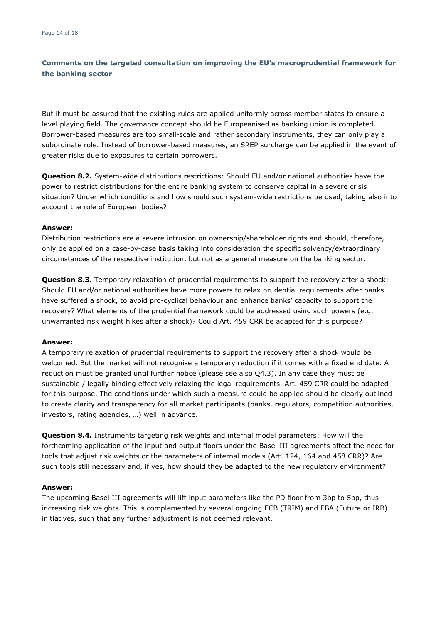But it must be assured that the existing rules are applied uniformly across member states to ensure a level playing field. The governance concept should be Europeanised as banking union is completed. Borrower-based measures are too small-scale and rather secondary instruments, they can only play a subordinate role. Instead of borrower-based measures, an SREP surcharge can be applied in the event of greater risks due to exposures to certain borrowers.

**Question 8.2.** System-wide distributions restrictions: Should EU and/or national authorities have the power to restrict distributions for the entire banking system to conserve capital in a severe crisis situation? Under which conditions and how should such system-wide restrictions be used, taking also into account the role of European bodies?

#### **Answer:**

Distribution restrictions are a severe intrusion on ownership/shareholder rights and should, therefore, only be applied on a case-by-case basis taking into consideration the specific solvency/extraordinary circumstances of the respective institution, but not as a general measure on the banking sector.

**Question 8.3.** Temporary relaxation of prudential requirements to support the recovery after a shock: Should EU and/or national authorities have more powers to relax prudential requirements after banks have suffered a shock, to avoid pro-cyclical behaviour and enhance banks' capacity to support the recovery? What elements of the prudential framework could be addressed using such powers (e.g. unwarranted risk weight hikes after a shock)? Could Art. 459 CRR be adapted for this purpose?

#### **Answer:**

A temporary relaxation of prudential requirements to support the recovery after a shock would be welcomed. But the market will not recognise a temporary reduction if it comes with a fixed end date. A reduction must be granted until further notice (please see also Q4.3). In any case they must be sustainable / legally binding effectively relaxing the legal requirements. Art. 459 CRR could be adapted for this purpose. The conditions under which such a measure could be applied should be clearly outlined to create clarity and transparency for all market participants (banks, regulators, competition authorities, investors, rating agencies, …) well in advance.

**Question 8.4.** Instruments targeting risk weights and internal model parameters: How will the forthcoming application of the input and output floors under the Basel III agreements affect the need for tools that adjust risk weights or the parameters of internal models (Art. 124, 164 and 458 CRR)? Are such tools still necessary and, if yes, how should they be adapted to the new regulatory environment?

#### **Answer:**

The upcoming Basel III agreements will lift input parameters like the PD floor from 3bp to 5bp, thus increasing risk weights. This is complemented by several ongoing ECB (TRIM) and EBA (Future or IRB) initiatives, such that any further adjustment is not deemed relevant.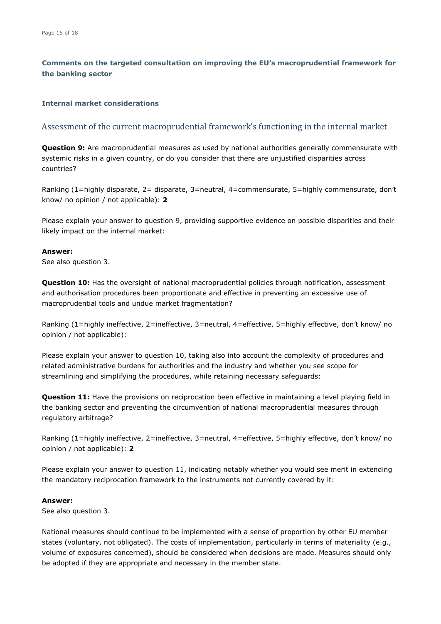#### **Internal market considerations**

#### Assessment of the current macroprudential framework's functioning in the internal market

**Question 9:** Are macroprudential measures as used by national authorities generally commensurate with systemic risks in a given country, or do you consider that there are unjustified disparities across countries?

Ranking (1=highly disparate, 2= disparate, 3=neutral, 4=commensurate, 5=highly commensurate, don't know/ no opinion / not applicable): **2**

Please explain your answer to question 9, providing supportive evidence on possible disparities and their likely impact on the internal market:

#### **Answer:**

See also question 3.

**Question 10:** Has the oversight of national macroprudential policies through notification, assessment and authorisation procedures been proportionate and effective in preventing an excessive use of macroprudential tools and undue market fragmentation?

Ranking (1=highly ineffective, 2=ineffective, 3=neutral, 4=effective, 5=highly effective, don't know/ no opinion / not applicable):

Please explain your answer to question 10, taking also into account the complexity of procedures and related administrative burdens for authorities and the industry and whether you see scope for streamlining and simplifying the procedures, while retaining necessary safeguards:

**Question 11:** Have the provisions on reciprocation been effective in maintaining a level playing field in the banking sector and preventing the circumvention of national macroprudential measures through regulatory arbitrage?

Ranking (1=highly ineffective, 2=ineffective, 3=neutral, 4=effective, 5=highly effective, don't know/ no opinion / not applicable): **2**

Please explain your answer to question 11, indicating notably whether you would see merit in extending the mandatory reciprocation framework to the instruments not currently covered by it:

#### **Answer:**

See also question 3.

National measures should continue to be implemented with a sense of proportion by other EU member states (voluntary, not obligated). The costs of implementation, particularly in terms of materiality (e.g., volume of exposures concerned), should be considered when decisions are made. Measures should only be adopted if they are appropriate and necessary in the member state.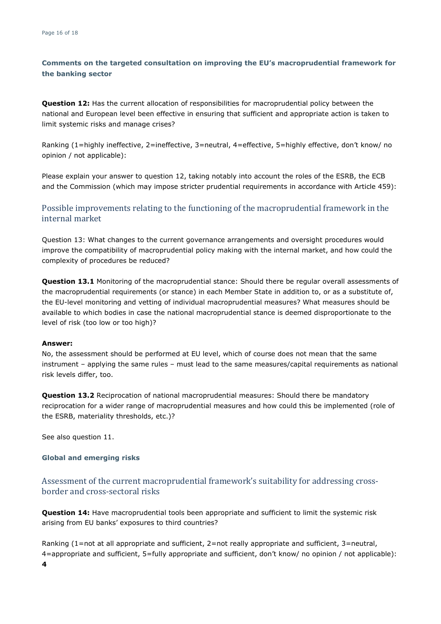**Question 12:** Has the current allocation of responsibilities for macroprudential policy between the national and European level been effective in ensuring that sufficient and appropriate action is taken to limit systemic risks and manage crises?

Ranking (1=highly ineffective, 2=ineffective, 3=neutral, 4=effective, 5=highly effective, don't know/ no opinion / not applicable):

Please explain your answer to question 12, taking notably into account the roles of the ESRB, the ECB and the Commission (which may impose stricter prudential requirements in accordance with Article 459):

## Possible improvements relating to the functioning of the macroprudential framework in the internal market

Question 13: What changes to the current governance arrangements and oversight procedures would improve the compatibility of macroprudential policy making with the internal market, and how could the complexity of procedures be reduced?

**Question 13.1** Monitoring of the macroprudential stance: Should there be regular overall assessments of the macroprudential requirements (or stance) in each Member State in addition to, or as a substitute of, the EU-level monitoring and vetting of individual macroprudential measures? What measures should be available to which bodies in case the national macroprudential stance is deemed disproportionate to the level of risk (too low or too high)?

#### **Answer:**

No, the assessment should be performed at EU level, which of course does not mean that the same instrument – applying the same rules – must lead to the same measures/capital requirements as national risk levels differ, too.

**Question 13.2** Reciprocation of national macroprudential measures: Should there be mandatory reciprocation for a wider range of macroprudential measures and how could this be implemented (role of the ESRB, materiality thresholds, etc.)?

See also question 11.

#### **Global and emerging risks**

Assessment of the current macroprudential framework's suitability for addressing crossborder and cross-sectoral risks

**Question 14:** Have macroprudential tools been appropriate and sufficient to limit the systemic risk arising from EU banks' exposures to third countries?

Ranking (1=not at all appropriate and sufficient, 2=not really appropriate and sufficient, 3=neutral, 4=appropriate and sufficient, 5=fully appropriate and sufficient, don't know/ no opinion / not applicable):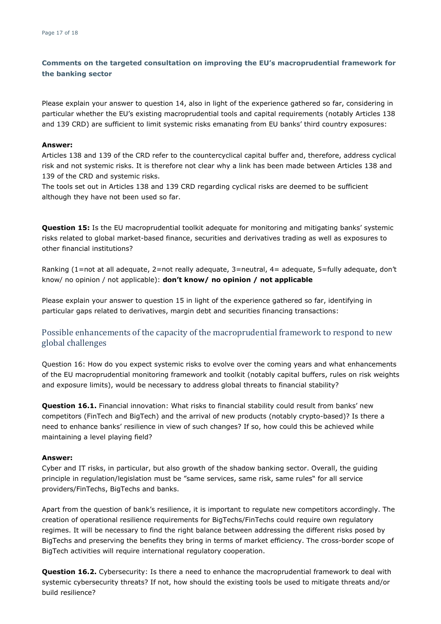Please explain your answer to question 14, also in light of the experience gathered so far, considering in particular whether the EU's existing macroprudential tools and capital requirements (notably Articles 138 and 139 CRD) are sufficient to limit systemic risks emanating from EU banks' third country exposures:

#### **Answer:**

Articles 138 and 139 of the CRD refer to the countercyclical capital buffer and, therefore, address cyclical risk and not systemic risks. It is therefore not clear why a link has been made between Articles 138 and 139 of the CRD and systemic risks.

The tools set out in Articles 138 and 139 CRD regarding cyclical risks are deemed to be sufficient although they have not been used so far.

**Question 15:** Is the EU macroprudential toolkit adequate for monitoring and mitigating banks' systemic risks related to global market-based finance, securities and derivatives trading as well as exposures to other financial institutions?

Ranking (1=not at all adequate, 2=not really adequate, 3=neutral, 4= adequate, 5=fully adequate, don't know/ no opinion / not applicable): **don't know/ no opinion / not applicable**

Please explain your answer to question 15 in light of the experience gathered so far, identifying in particular gaps related to derivatives, margin debt and securities financing transactions:

## Possible enhancements of the capacity of the macroprudential framework to respond to new global challenges

Question 16: How do you expect systemic risks to evolve over the coming years and what enhancements of the EU macroprudential monitoring framework and toolkit (notably capital buffers, rules on risk weights and exposure limits), would be necessary to address global threats to financial stability?

**Question 16.1.** Financial innovation: What risks to financial stability could result from banks' new competitors (FinTech and BigTech) and the arrival of new products (notably crypto-based)? Is there a need to enhance banks' resilience in view of such changes? If so, how could this be achieved while maintaining a level playing field?

#### **Answer:**

Cyber and IT risks, in particular, but also growth of the shadow banking sector. Overall, the guiding principle in regulation/legislation must be "same services, same risk, same rules" for all service providers/FinTechs, BigTechs and banks.

Apart from the question of bank's resilience, it is important to regulate new competitors accordingly. The creation of operational resilience requirements for BigTechs/FinTechs could require own regulatory regimes. It will be necessary to find the right balance between addressing the different risks posed by BigTechs and preserving the benefits they bring in terms of market efficiency. The cross-border scope of BigTech activities will require international regulatory cooperation.

**Question 16.2.** Cybersecurity: Is there a need to enhance the macroprudential framework to deal with systemic cybersecurity threats? If not, how should the existing tools be used to mitigate threats and/or build resilience?